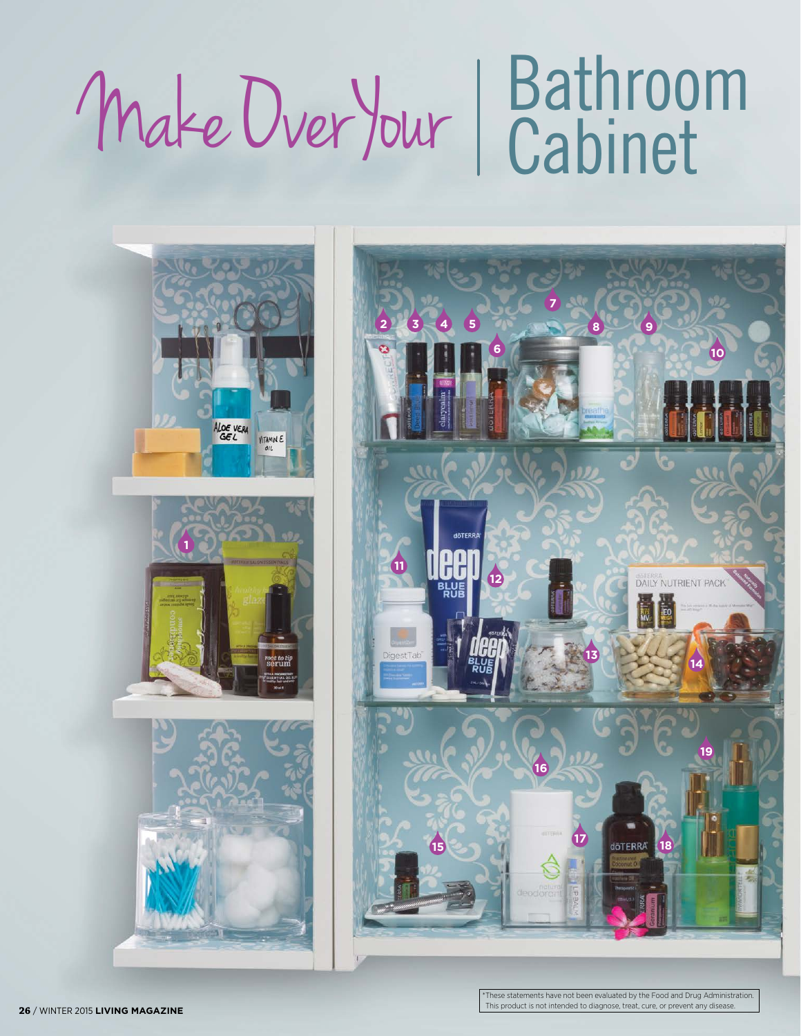## Bathroom Make Over Your Cabinet





These statements have not been evaluated by the Food and Drug Administration. This product is not intended to diagnose, treat, cure, or prevent any disease. / WINTER 2015 **LIVING MAGAZINE**